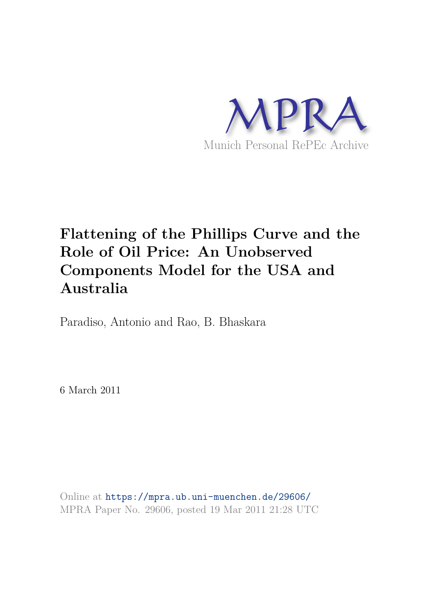

# **Flattening of the Phillips Curve and the Role of Oil Price: An Unobserved Components Model for the USA and Australia**

Paradiso, Antonio and Rao, B. Bhaskara

6 March 2011

Online at https://mpra.ub.uni-muenchen.de/29606/ MPRA Paper No. 29606, posted 19 Mar 2011 21:28 UTC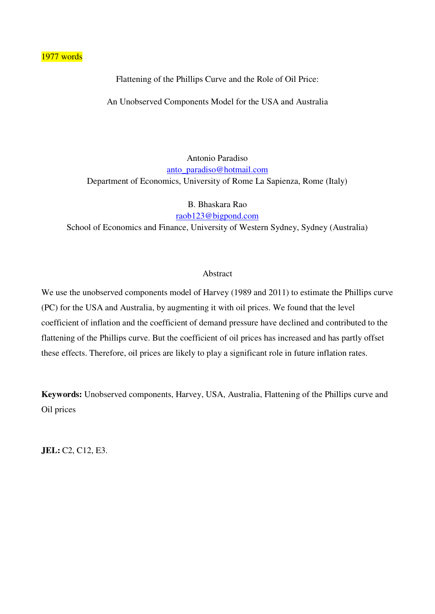1977 words

Flattening of the Phillips Curve and the Role of Oil Price:

An Unobserved Components Model for the USA and Australia

Antonio Paradiso [anto\\_paradiso@hotmail.com](mailto:anto_paradiso@hotmail.com) Department of Economics, University of Rome La Sapienza, Rome (Italy)

B. Bhaskara Rao

[raob123@bigpond.com](mailto:raob123@bigpond.com) School of Economics and Finance, University of Western Sydney, Sydney (Australia)

#### Abstract

We use the unobserved components model of Harvey (1989 and 2011) to estimate the Phillips curve (PC) for the USA and Australia, by augmenting it with oil prices. We found that the level coefficient of inflation and the coefficient of demand pressure have declined and contributed to the flattening of the Phillips curve. But the coefficient of oil prices has increased and has partly offset these effects. Therefore, oil prices are likely to play a significant role in future inflation rates.

**Keywords:** Unobserved components, Harvey, USA, Australia, Flattening of the Phillips curve and Oil prices

**JEL:** C2, C12, E3.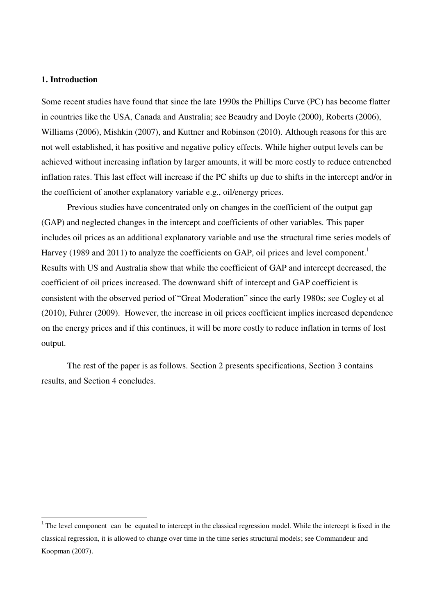### **1. Introduction**

 $\overline{a}$ 

Some recent studies have found that since the late 1990s the Phillips Curve (PC) has become flatter in countries like the USA, Canada and Australia; see Beaudry and Doyle (2000), Roberts (2006), Williams (2006), Mishkin (2007), and Kuttner and Robinson (2010). Although reasons for this are not well established, it has positive and negative policy effects. While higher output levels can be achieved without increasing inflation by larger amounts, it will be more costly to reduce entrenched inflation rates. This last effect will increase if the PC shifts up due to shifts in the intercept and/or in the coefficient of another explanatory variable e.g., oil/energy prices.

Previous studies have concentrated only on changes in the coefficient of the output gap (GAP) and neglected changes in the intercept and coefficients of other variables. This paper includes oil prices as an additional explanatory variable and use the structural time series models of Harvey (1989 and 2011) to analyze the coefficients on GAP, oil prices and level component.<sup>1</sup> Results with US and Australia show that while the coefficient of GAP and intercept decreased, the coefficient of oil prices increased. The downward shift of intercept and GAP coefficient is consistent with the observed period of "Great Moderation" since the early 1980s; see Cogley et al (2010), Fuhrer (2009). However, the increase in oil prices coefficient implies increased dependence on the energy prices and if this continues, it will be more costly to reduce inflation in terms of lost output.

The rest of the paper is as follows. Section 2 presents specifications, Section 3 contains results, and Section 4 concludes.

 $1$ <sup>1</sup> The level component can be equated to intercept in the classical regression model. While the intercept is fixed in the classical regression, it is allowed to change over time in the time series structural models; see Commandeur and Koopman (2007).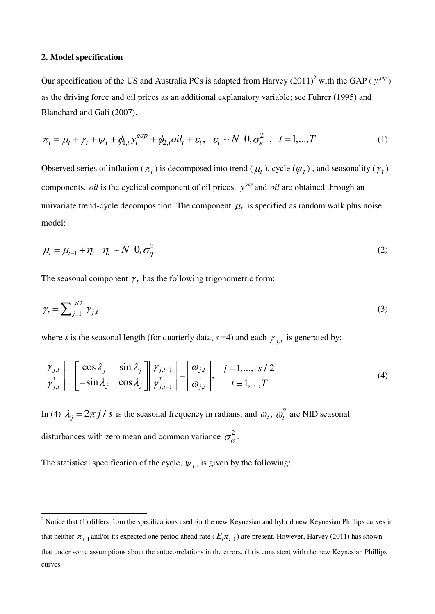#### **2. Model specification**

.

Our specification of the US and Australia PCs is adapted from Harvey  $(2011)^2$  with the GAP ( $y^{gap}$ ) as the driving force and oil prices as an additional explanatory variable; see Fuhrer (1995) and Blanchard and Gali (2007).

$$
\pi_t = \mu_t + \gamma_t + \psi_t + \phi_{1,t} y_t^{gap} + \phi_{2,t} oil_t + \varepsilon_t, \quad \varepsilon_t \sim N \quad 0, \sigma_{\varepsilon}^2 \quad , \quad t = 1, \dots, T
$$

Observed series of inflation ( $\pi_t$ ) is decomposed into trend ( $\mu_t$ ), cycle ( $\psi_t$ ), and seasonality ( $\gamma_t$ ) components. *oil* is the cyclical component of oil prices.  $y^{gap}$  and *oil* are obtained through an univariate trend-cycle decomposition. The component  $\mu_t$  is specified as random walk plus noise model:

$$
\mu_t = \mu_{t-1} + \eta_t \quad \eta_t \sim N \quad 0, \sigma_\eta^2 \tag{2}
$$

The seasonal component  $\gamma_t$  has the following trigonometric form:

$$
\gamma_t = \sum_{j=1}^{s/2} \gamma_{j,t} \tag{3}
$$

where *s* is the seasonal length (for quarterly data,  $s = 4$ ) and each  $\gamma_{j,t}$  is generated by:

$$
\begin{bmatrix} \gamma_{j,t} \\ \gamma_{j,t}^* \end{bmatrix} = \begin{bmatrix} \cos \lambda_j & \sin \lambda_j \\ -\sin \lambda_j & \cos \lambda_j \end{bmatrix} \begin{bmatrix} \gamma_{j,t-1} \\ \gamma_{j,t-1}^* \end{bmatrix} + \begin{bmatrix} \omega_{j,t} \\ \omega_{j,t}^* \end{bmatrix}, \quad j = 1, \dots, s/2 \quad (4)
$$

In (4)  $\lambda_j = 2\pi j / s$  is the seasonal frequency in radians, and  $\omega_t$ ,  $\omega_t^*$  $t_t$  are NID seasonal disturbances with zero mean and common variance  $\sigma_{\omega}^2$ .

The statistical specification of the cycle,  $\psi_t$ , is given by the following:

<sup>&</sup>lt;sup>2</sup> Notice that (1) differs from the specifications used for the new Keynesian and hybrid new Keynesian Phillips curves in that neither  $\pi_{t-1}$  and/or its expected one period ahead rate ( $E_t \pi_{t+1}$ ) are present. However, Harvey (2011) has shown that under some assumptions about the autocorrelations in the errors, (1) is consistent with the new Keynesian Phillips curves.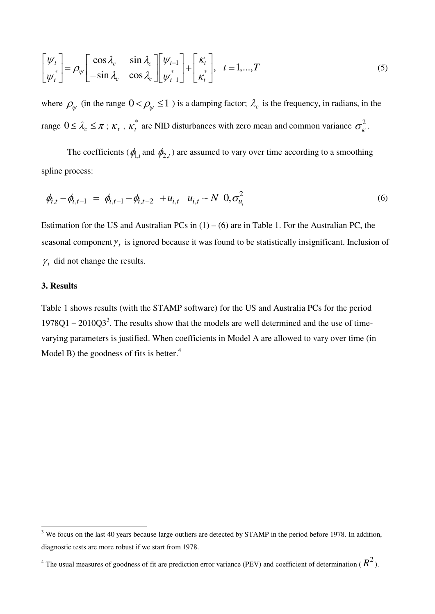$$
\begin{bmatrix} \psi_t \\ \psi_t^* \end{bmatrix} = \rho_{\psi} \begin{bmatrix} \cos \lambda_c & \sin \lambda_c \\ -\sin \lambda_c & \cos \lambda_c \end{bmatrix} \begin{bmatrix} \psi_{t-1} \\ \psi_{t-1}^* \end{bmatrix} + \begin{bmatrix} \kappa_t \\ \kappa_t^* \end{bmatrix}, \quad t = 1, \dots, T \tag{5}
$$

where  $\rho_{\psi}$  (in the range  $0 < \rho_{\psi} \le 1$ ) is a damping factor;  $\lambda_c$  is the frequency, in radians, in the range  $0 \leq \lambda_c \leq \pi$ ;  $\kappa_t$ ,  $\kappa_t^*$  $t_t^*$  are NID disturbances with zero mean and common variance  $\sigma_{k}^2$ .

The coefficients ( $\phi_{1,t}$  and  $\phi_{2,t}$ ) are assumed to vary over time according to a smoothing spline process:

$$
\phi_{i,t} - \phi_{i,t-1} = \phi_{i,t-1} - \phi_{i,t-2} + u_{i,t} \quad u_{i,t} \sim N \quad 0, \sigma_{u_i}^2 \tag{6}
$$

Estimation for the US and Australian PCs in  $(1) - (6)$  are in Table 1. For the Australian PC, the seasonal component  $\gamma_t$  is ignored because it was found to be statistically insignificant. Inclusion of *t* did not change the results.

## **3. Results**

 $\overline{a}$ 

Table 1 shows results (with the STAMP software) for the US and Australia PCs for the period  $1978Q1 - 2010Q3<sup>3</sup>$ . The results show that the models are well determined and the use of timevarying parameters is justified. When coefficients in Model A are allowed to vary over time (in Model B) the goodness of fits is better. $4$ 

 $3$  We focus on the last 40 years because large outliers are detected by STAMP in the period before 1978. In addition, diagnostic tests are more robust if we start from 1978.

<sup>&</sup>lt;sup>4</sup> The usual measures of goodness of fit are prediction error variance (PEV) and coefficient of determination ( $R^2$ ).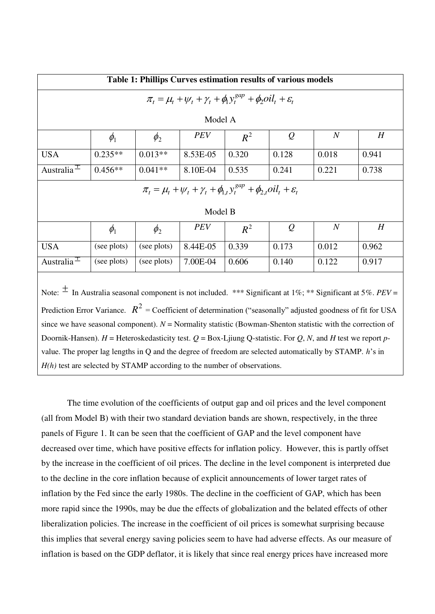| Table 1: Phillips Curves estimation results of various models                                                                                                                                                                                                                                                                                      |             |             |            |       |               |                  |       |  |
|----------------------------------------------------------------------------------------------------------------------------------------------------------------------------------------------------------------------------------------------------------------------------------------------------------------------------------------------------|-------------|-------------|------------|-------|---------------|------------------|-------|--|
| $\pi_t = \mu_t + \psi_t + \gamma_t + \phi_1 y_t^{gap} + \phi_2 oil_t + \varepsilon_t$                                                                                                                                                                                                                                                              |             |             |            |       |               |                  |       |  |
| Model A                                                                                                                                                                                                                                                                                                                                            |             |             |            |       |               |                  |       |  |
|                                                                                                                                                                                                                                                                                                                                                    | $\phi_1$    | $\phi_{2}$  | <b>PEV</b> | $R^2$ | $\mathcal{Q}$ | $\boldsymbol{N}$ | H     |  |
| <b>USA</b>                                                                                                                                                                                                                                                                                                                                         | $0.235**$   | $0.013**$   | 8.53E-05   | 0.320 | 0.128         | 0.018            | 0.941 |  |
| Australia <sup><math>\overline{1}</math></sup>                                                                                                                                                                                                                                                                                                     | $0.456**$   | $0.041**$   | 8.10E-04   | 0.535 | 0.241         | 0.221            | 0.738 |  |
| $\pi_t = \mu_t + \psi_t + \gamma_t + \phi_{1,t} y_t^{gap} + \phi_{2,t} oil_t + \varepsilon_t$                                                                                                                                                                                                                                                      |             |             |            |       |               |                  |       |  |
| Model B                                                                                                                                                                                                                                                                                                                                            |             |             |            |       |               |                  |       |  |
|                                                                                                                                                                                                                                                                                                                                                    | $\phi_1$    | $\phi_{2}$  | <b>PEV</b> | $R^2$ | $\varrho$     | $\boldsymbol{N}$ | H     |  |
| <b>USA</b>                                                                                                                                                                                                                                                                                                                                         | (see plots) | (see plots) | 8.44E-05   | 0.339 | 0.173         | 0.012            | 0.962 |  |
| Australia <sup><math>\pm</math></sup>                                                                                                                                                                                                                                                                                                              | (see plots) | (see plots) | 7.00E-04   | 0.606 | 0.140         | 0.122            | 0.917 |  |
| Note: $\pm$ In Australia seasonal component is not included. *** Significant at 1%; ** Significant at 5%. PEV =<br>Prediction Error Variance. $R^2$ = Coefficient of determination ("seasonally" adjusted goodness of fit for USA<br>since we have seasonal component). $N =$ Normality statistic (Bowman-Shenton statistic with the correction of |             |             |            |       |               |                  |       |  |
| Doornik-Hansen). H = Heteroskedasticity test. $Q = Box-Ljiung Q-statistic$ . For Q, N, and H test we report p-                                                                                                                                                                                                                                     |             |             |            |       |               |                  |       |  |
| value. The proper lag lengths in Q and the degree of freedom are selected automatically by STAMP. h's in                                                                                                                                                                                                                                           |             |             |            |       |               |                  |       |  |
| $H(h)$ test are selected by STAMP according to the number of observations.                                                                                                                                                                                                                                                                         |             |             |            |       |               |                  |       |  |

The time evolution of the coefficients of output gap and oil prices and the level component (all from Model B) with their two standard deviation bands are shown, respectively, in the three panels of Figure 1. It can be seen that the coefficient of GAP and the level component have decreased over time, which have positive effects for inflation policy. However, this is partly offset by the increase in the coefficient of oil prices. The decline in the level component is interpreted due to the decline in the core inflation because of explicit announcements of lower target rates of inflation by the Fed since the early 1980s. The decline in the coefficient of GAP, which has been more rapid since the 1990s, may be due the effects of globalization and the belated effects of other liberalization policies. The increase in the coefficient of oil prices is somewhat surprising because this implies that several energy saving policies seem to have had adverse effects. As our measure of inflation is based on the GDP deflator, it is likely that since real energy prices have increased more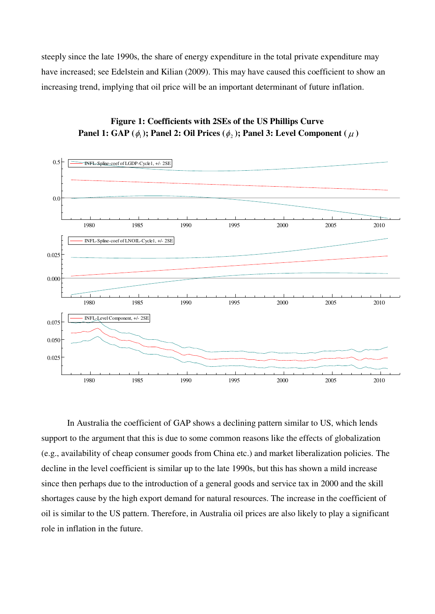steeply since the late 1990s, the share of energy expenditure in the total private expenditure may have increased; see Edelstein and Kilian (2009). This may have caused this coefficient to show an increasing trend, implying that oil price will be an important determinant of future inflation.





In Australia the coefficient of GAP shows a declining pattern similar to US, which lends support to the argument that this is due to some common reasons like the effects of globalization (e.g., availability of cheap consumer goods from China etc.) and market liberalization policies. The decline in the level coefficient is similar up to the late 1990s, but this has shown a mild increase since then perhaps due to the introduction of a general goods and service tax in 2000 and the skill shortages cause by the high export demand for natural resources. The increase in the coefficient of oil is similar to the US pattern. Therefore, in Australia oil prices are also likely to play a significant role in inflation in the future.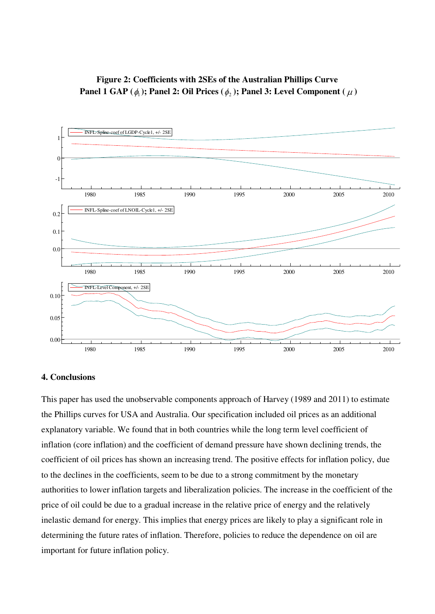# **Figure 2: Coefficients with 2SEs of the Australian Phillips Curve Panel 1 GAP** ( $\phi_1$ ); Panel 2: Oil Prices ( $\phi_2$ ); Panel 3: Level Component ( $\mu$ )



## **4. Conclusions**

This paper has used the unobservable components approach of Harvey (1989 and 2011) to estimate the Phillips curves for USA and Australia. Our specification included oil prices as an additional explanatory variable. We found that in both countries while the long term level coefficient of inflation (core inflation) and the coefficient of demand pressure have shown declining trends, the coefficient of oil prices has shown an increasing trend. The positive effects for inflation policy, due to the declines in the coefficients, seem to be due to a strong commitment by the monetary authorities to lower inflation targets and liberalization policies. The increase in the coefficient of the price of oil could be due to a gradual increase in the relative price of energy and the relatively inelastic demand for energy. This implies that energy prices are likely to play a significant role in determining the future rates of inflation. Therefore, policies to reduce the dependence on oil are important for future inflation policy.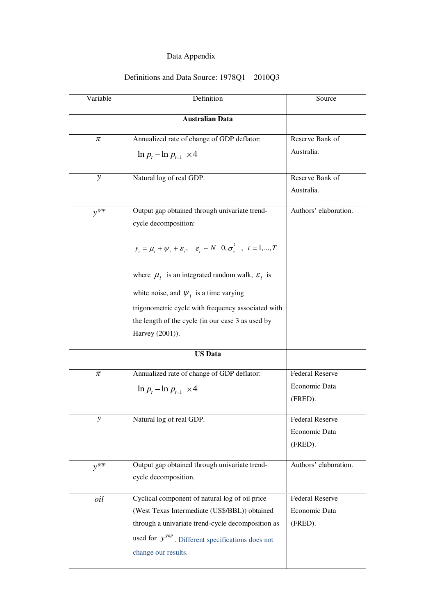## Data Appendix

## Definitions and Data Source: 1978Q1 – 2010Q3

| Variable      | Definition                                                                                                 | Source                 |  |
|---------------|------------------------------------------------------------------------------------------------------------|------------------------|--|
|               | <b>Australian Data</b>                                                                                     |                        |  |
| $\pi$         | Annualized rate of change of GDP deflator:                                                                 | Reserve Bank of        |  |
|               | $\ln p_{t} - \ln p_{t-1} \times 4$                                                                         | Australia.             |  |
| $\mathcal{Y}$ | Natural log of real GDP.                                                                                   | Reserve Bank of        |  |
|               |                                                                                                            | Australia.             |  |
| $y^{gap}$     | Output gap obtained through univariate trend-                                                              | Authors' elaboration.  |  |
|               | cycle decomposition:                                                                                       |                        |  |
|               |                                                                                                            |                        |  |
|               | $y_{t} = \mu_{t} + \psi_{t} + \varepsilon_{t}$ , $\varepsilon_{t} \sim N$ $0, \sigma_{s}^{2}$ , $t = 1,,T$ |                        |  |
|               | where $\mu_t$ is an integrated random walk, $\varepsilon_t$ is                                             |                        |  |
|               | white noise, and $\psi_t$ is a time varying                                                                |                        |  |
|               | trigonometric cycle with frequency associated with                                                         |                        |  |
|               | the length of the cycle (in our case 3 as used by                                                          |                        |  |
|               | Harvey (2001)).                                                                                            |                        |  |
|               | <b>US</b> Data                                                                                             |                        |  |
| $\pi$         | Annualized rate of change of GDP deflator:                                                                 | <b>Federal Reserve</b> |  |
|               |                                                                                                            | Economic Data          |  |
|               | $\ln p_t - \ln p_{t-1} \times 4$                                                                           | (FRED).                |  |
|               |                                                                                                            |                        |  |
| у             | Natural log of real GDP.                                                                                   | <b>Federal Reserve</b> |  |
|               |                                                                                                            | Economic Data          |  |
|               |                                                                                                            | (FRED).                |  |
| $y^{gap}$     | Output gap obtained through univariate trend-                                                              | Authors' elaboration.  |  |
|               | cycle decomposition.                                                                                       |                        |  |
| oil           | Cyclical component of natural log of oil price                                                             | <b>Federal Reserve</b> |  |
|               | (West Texas Intermediate (US\$/BBL)) obtained                                                              | Economic Data          |  |
|               | through a univariate trend-cycle decomposition as                                                          | (FRED).                |  |
|               | used for $y^{gap}$ . Different specifications does not                                                     |                        |  |
|               | change our results.                                                                                        |                        |  |
|               |                                                                                                            |                        |  |